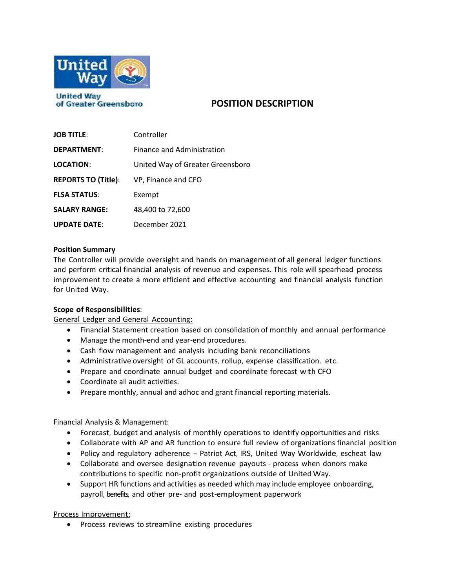

**POSITION DESCRIPTION**

| <b>JOB TITLE:</b>          | Controller                       |
|----------------------------|----------------------------------|
| <b>DEPARTMENT:</b>         | Finance and Administration       |
| <b>LOCATION:</b>           | United Way of Greater Greensboro |
| <b>REPORTS TO (Title):</b> | VP, Finance and CFO              |
| <b>FLSA STATUS:</b>        | Exempt                           |
| <b>SALARY RANGE:</b>       | 48,400 to 72,600                 |
| <b>UPDATE DATE:</b>        | December 2021                    |

# **Position Summary**

The Controller will provide oversight and hands on management of all general ledger functions and perform critical financial analysis of revenue and expenses. This role will spearhead process improvement to create a more efficient and effective accounting and financial analysis function for United Way.

# **Scope of Responsibilities:**

General Ledger and General Accounting:

- Financial Statement creation based on consolidation of monthly and annual performance
- Manage the month-end and year-end procedures.
- Cash flow management and analysis including bank reconciliations
- Administrative oversight of GL accounts, rollup, expense classification. etc.
- Prepare and coordinate annual budget and coordinate forecast with CFO
- Coordinate all audit activities.
- Prepare monthly, annual and adhoc and grant financial reporting materials.

# Financial Analysis & Management:

- Forecast, budget and analysis of monthly operations to identify opportunities and risks
- Collaborate with AP and AR function to ensure full review of organizations financial position
- Policy and regulatory adherence Patriot Act, IRS, United Way Worldwide, escheat law
- Collaborate and oversee designation revenue payouts process when donors make contributions to specific non-profit organizations outside of United Way.
- Support HR functions and activities as needed which may include employee onboarding, payroll, benefits, and other pre- and post-employment paperwork

Process Improvement:

• Process reviews to streamline existing procedures